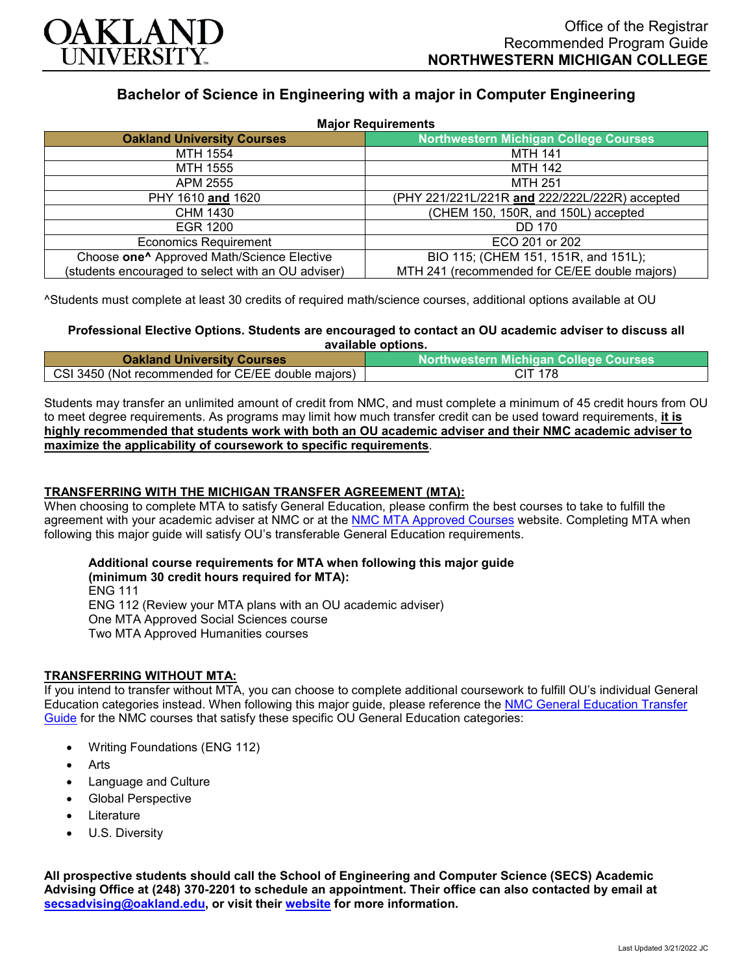

# **Bachelor of Science in Engineering with a major in Computer Engineering**

| <b>Major Requirements</b>                              |                                                |
|--------------------------------------------------------|------------------------------------------------|
| <b>Oakland University Courses</b>                      | <b>Northwestern Michigan College Courses</b>   |
| MTH 1554                                               | <b>MTH 141</b>                                 |
| MTH 1555                                               | MTH 142                                        |
| APM 2555                                               | <b>MTH 251</b>                                 |
| PHY 1610 and 1620                                      | (PHY 221/221L/221R and 222/222L/222R) accepted |
| <b>CHM 1430</b>                                        | (CHEM 150, 150R, and 150L) accepted            |
| EGR 1200                                               | DD 170                                         |
| <b>Economics Requirement</b>                           | ECO 201 or 202                                 |
| Choose one <sup>^</sup> Approved Math/Science Elective | BIO 115; (CHEM 151, 151R, and 151L);           |
| (students encouraged to select with an OU adviser)     | MTH 241 (recommended for CE/EE double majors)  |

^Students must complete at least 30 credits of required math/science courses, additional options available at OU

#### **Professional Elective Options. Students are encouraged to contact an OU academic adviser to discuss all available options.**

| <b>Oakland University Courses</b>                  | <b>Northwestern Michigan College Courses</b> |
|----------------------------------------------------|----------------------------------------------|
| CSI 3450 (Not recommended for CE/EE double majors) | CIT 178                                      |

Students may transfer an unlimited amount of credit from NMC, and must complete a minimum of 45 credit hours from OU to meet degree requirements. As programs may limit how much transfer credit can be used toward requirements, **it is highly recommended that students work with both an OU academic adviser and their NMC academic adviser to maximize the applicability of coursework to specific requirements**.

### **TRANSFERRING WITH THE MICHIGAN TRANSFER AGREEMENT (MTA):**

When choosing to complete MTA to satisfy General Education, please confirm the best courses to take to fulfill the agreement with your academic adviser at NMC or at the [NMC MTA Approved Courses](https://www.nmc.edu/programs/course-descriptions/group-1-courses-for-mta.pdf) website. Completing MTA when following this major guide will satisfy OU's transferable General Education requirements.

## **Additional course requirements for MTA when following this major guide**

**(minimum 30 credit hours required for MTA):** ENG 111 ENG 112 (Review your MTA plans with an OU academic adviser) One MTA Approved Social Sciences course Two MTA Approved Humanities courses

### **TRANSFERRING WITHOUT MTA:**

If you intend to transfer without MTA, you can choose to complete additional coursework to fulfill OU's individual General Education categories instead. When following this major guide, please reference the [NMC General Education Transfer](https://www.oakland.edu/Assets/Oakland/program-guides/northwestern-michigan-college/university-general-education-requirements/Northwestern%20Gen%20Ed.pdf)  [Guide](https://www.oakland.edu/Assets/Oakland/program-guides/northwestern-michigan-college/university-general-education-requirements/Northwestern%20Gen%20Ed.pdf) for the NMC courses that satisfy these specific OU General Education categories:

- Writing Foundations (ENG 112)
- Arts
- Language and Culture
- Global Perspective
- **Literature**
- U.S. Diversity

**All prospective students should call the School of Engineering and Computer Science (SECS) Academic Advising Office at (248) 370-2201 to schedule an appointment. Their office can also contacted by email at [secsadvising@oakland.edu,](mailto:secsadvising@oakland.edu) or visit their [website](https://wwwp.oakland.edu/secs/advising/) for more information.**